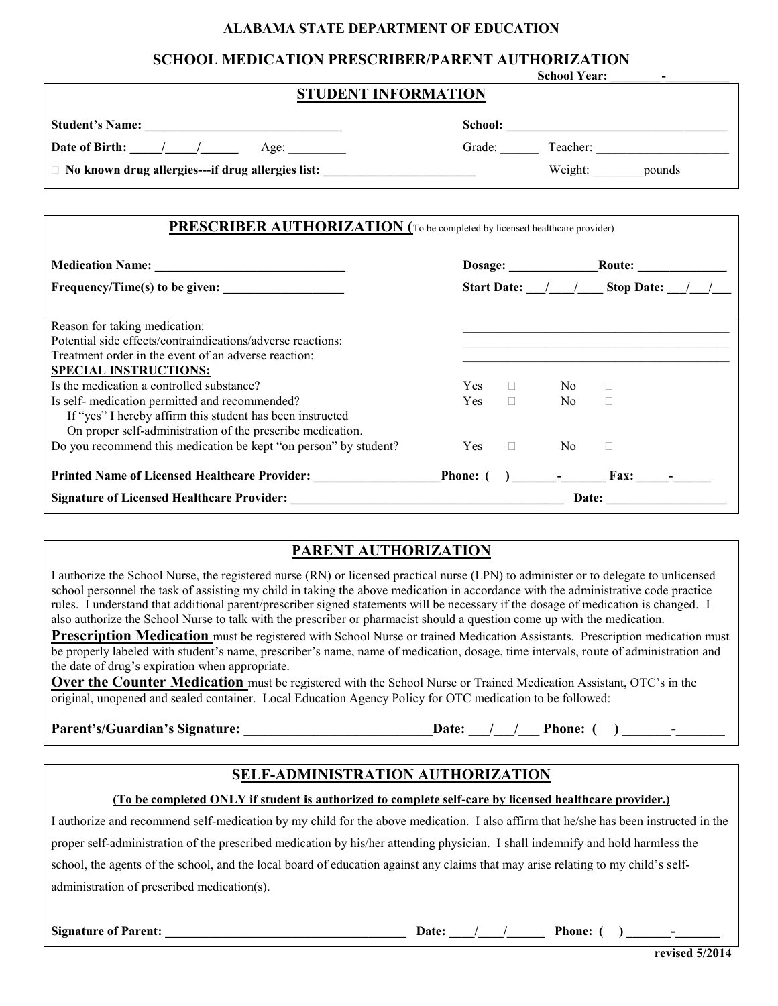#### **ALABAMA STATE DEPARTMENT OF EDUCATION**

### **SCHOOL MEDICATION PRESCRIBER/PARENT AUTHORIZATION**

|                                                                                   | <b>School Year:</b> |  |  |  |  |
|-----------------------------------------------------------------------------------|---------------------|--|--|--|--|
| <b>STUDENT INFORMATION</b>                                                        |                     |  |  |  |  |
|                                                                                   |                     |  |  |  |  |
| Date of Birth: / /<br>Age:                                                        | Grade:<br>Teacher:  |  |  |  |  |
| $\Box$ No known drug allergies---if drug allergies list:                          | Weight:<br>pounds   |  |  |  |  |
|                                                                                   |                     |  |  |  |  |
| <b>PRESCRIBER AUTHORIZATION</b> (To be completed by licensed healthcare provider) |                     |  |  |  |  |

|                                                                                                                                                                           | Dosage:<br>Start Date: / / Stop Date: / |        |                                                                                                   |       |
|---------------------------------------------------------------------------------------------------------------------------------------------------------------------------|-----------------------------------------|--------|---------------------------------------------------------------------------------------------------|-------|
|                                                                                                                                                                           |                                         |        |                                                                                                   |       |
| Reason for taking medication:<br>Potential side effects/contraindications/adverse reactions:<br>Treatment order in the event of an adverse reaction:                      |                                         |        |                                                                                                   |       |
| <b>SPECIAL INSTRUCTIONS:</b><br>Is the medication a controlled substance?                                                                                                 | Yes.                                    |        | No.                                                                                               |       |
| Is self- medication permitted and recommended?<br>If "yes" I hereby affirm this student has been instructed<br>On proper self-administration of the prescribe medication. | <b>Yes</b>                              | $\Box$ | N <sub>0</sub>                                                                                    |       |
| Do you recommend this medication be kept "on person" by student?                                                                                                          | <b>Yes</b>                              | $\Box$ | N <sub>0</sub>                                                                                    |       |
| <b>Printed Name of Licensed Healthcare Provider:</b>                                                                                                                      | Phone: (                                |        | $\mathcal{L}(\mathcal{L})$ and $\mathcal{L}(\mathcal{L})$ . The set of $\mathcal{L}(\mathcal{L})$ | Fax:  |
|                                                                                                                                                                           |                                         |        |                                                                                                   | Date: |

## **PARENT AUTHORIZATION**

I authorize the School Nurse, the registered nurse (RN) or licensed practical nurse (LPN) to administer or to delegate to unlicensed school personnel the task of assisting my child in taking the above medication in accordance with the administrative code practice rules. I understand that additional parent/prescriber signed statements will be necessary if the dosage of medication is changed. I also authorize the School Nurse to talk with the prescriber or pharmacist should a question come up with the medication.

**Prescription Medication** must be registered with School Nurse or trained Medication Assistants. Prescription medication must be properly labeled with student's name, prescriber's name, name of medication, dosage, time intervals, route of administration and the date of drug's expiration when appropriate.

**Over the Counter Medication** must be registered with the School Nurse or Trained Medication Assistant, OTC's in the original, unopened and sealed container. Local Education Agency Policy for OTC medication to be followed:

Parent's/Guardian's Signature: \_\_\_\_\_\_\_\_\_\_\_\_\_\_\_\_\_\_\_\_\_\_\_\_\_\_\_\_\_\_\_\_Date: \_\_\_/\_\_\_/\_\_\_\_Phone: ( ) \_\_\_\_\_\_\_\_\_\_\_\_\_\_\_\_\_\_

# **SELF-ADMINISTRATION AUTHORIZATION**

#### **(To be completed ONLY if student is authorized to complete self-care by licensed healthcare provider.)**

I authorize and recommend self-medication by my child for the above medication. I also affirm that he/she has been instructed in the proper self-administration of the prescribed medication by his/her attending physician. I shall indemnify and hold harmless the school, the agents of the school, and the local board of education against any claims that may arise relating to my child's selfadministration of prescribed medication(s).

**Signature of Parent: \_\_\_\_\_\_\_\_\_\_\_\_\_\_\_\_\_\_\_\_\_\_\_\_\_\_\_\_\_\_\_\_\_\_\_\_\_\_ Date: \_\_\_\_/\_\_\_\_/\_\_\_\_\_\_ Phone: ( ) \_\_\_\_\_\_\_-\_\_\_\_\_\_\_**